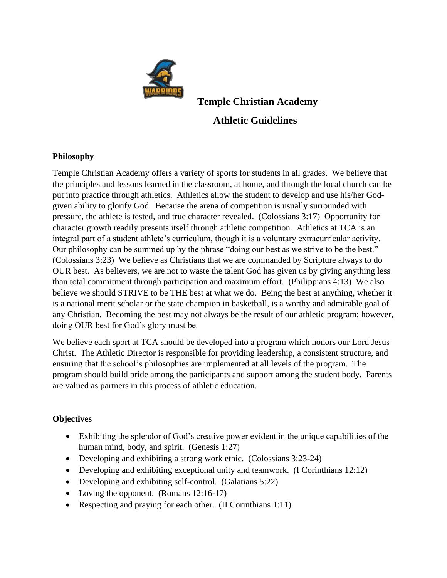

**Temple Christian Academy Athletic Guidelines**

### **Philosophy**

Temple Christian Academy offers a variety of sports for students in all grades. We believe that the principles and lessons learned in the classroom, at home, and through the local church can be put into practice through athletics. Athletics allow the student to develop and use his/her Godgiven ability to glorify God. Because the arena of competition is usually surrounded with pressure, the athlete is tested, and true character revealed. (Colossians 3:17) Opportunity for character growth readily presents itself through athletic competition. Athletics at TCA is an integral part of a student athlete's curriculum, though it is a voluntary extracurricular activity. Our philosophy can be summed up by the phrase "doing our best as we strive to be the best." (Colossians 3:23) We believe as Christians that we are commanded by Scripture always to do OUR best. As believers, we are not to waste the talent God has given us by giving anything less than total commitment through participation and maximum effort. (Philippians 4:13) We also believe we should STRIVE to be THE best at what we do. Being the best at anything, whether it is a national merit scholar or the state champion in basketball, is a worthy and admirable goal of any Christian. Becoming the best may not always be the result of our athletic program; however, doing OUR best for God's glory must be.

We believe each sport at TCA should be developed into a program which honors our Lord Jesus Christ. The Athletic Director is responsible for providing leadership, a consistent structure, and ensuring that the school's philosophies are implemented at all levels of the program. The program should build pride among the participants and support among the student body. Parents are valued as partners in this process of athletic education.

### **Objectives**

- Exhibiting the splendor of God's creative power evident in the unique capabilities of the human mind, body, and spirit. (Genesis 1:27)
- Developing and exhibiting a strong work ethic. (Colossians 3:23-24)
- Developing and exhibiting exceptional unity and teamwork. (I Corinthians 12:12)
- Developing and exhibiting self-control. (Galatians 5:22)
- Loving the opponent. (Romans 12:16-17)
- Respecting and praying for each other. (II Corinthians 1:11)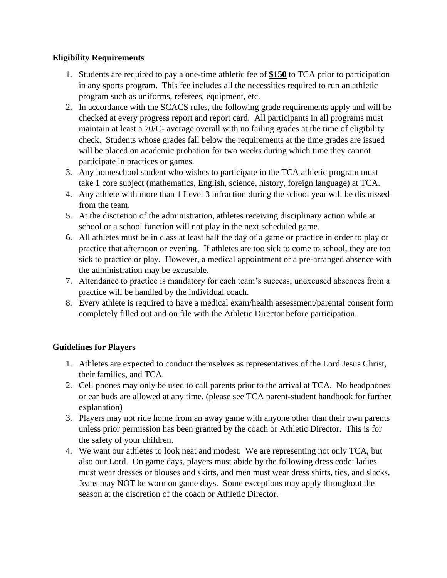# **Eligibility Requirements**

- 1. Students are required to pay a one-time athletic fee of **\$150** to TCA prior to participation in any sports program. This fee includes all the necessities required to run an athletic program such as uniforms, referees, equipment, etc.
- 2. In accordance with the SCACS rules, the following grade requirements apply and will be checked at every progress report and report card. All participants in all programs must maintain at least a 70/C- average overall with no failing grades at the time of eligibility check. Students whose grades fall below the requirements at the time grades are issued will be placed on academic probation for two weeks during which time they cannot participate in practices or games.
- 3. Any homeschool student who wishes to participate in the TCA athletic program must take 1 core subject (mathematics, English, science, history, foreign language) at TCA.
- 4. Any athlete with more than 1 Level 3 infraction during the school year will be dismissed from the team.
- 5. At the discretion of the administration, athletes receiving disciplinary action while at school or a school function will not play in the next scheduled game.
- 6. All athletes must be in class at least half the day of a game or practice in order to play or practice that afternoon or evening. If athletes are too sick to come to school, they are too sick to practice or play. However, a medical appointment or a pre-arranged absence with the administration may be excusable.
- 7. Attendance to practice is mandatory for each team's success; unexcused absences from a practice will be handled by the individual coach.
- 8. Every athlete is required to have a medical exam/health assessment/parental consent form completely filled out and on file with the Athletic Director before participation.

# **Guidelines for Players**

- 1. Athletes are expected to conduct themselves as representatives of the Lord Jesus Christ, their families, and TCA.
- 2. Cell phones may only be used to call parents prior to the arrival at TCA. No headphones or ear buds are allowed at any time. (please see TCA parent-student handbook for further explanation)
- 3. Players may not ride home from an away game with anyone other than their own parents unless prior permission has been granted by the coach or Athletic Director. This is for the safety of your children.
- 4. We want our athletes to look neat and modest. We are representing not only TCA, but also our Lord. On game days, players must abide by the following dress code: ladies must wear dresses or blouses and skirts, and men must wear dress shirts, ties, and slacks. Jeans may NOT be worn on game days. Some exceptions may apply throughout the season at the discretion of the coach or Athletic Director.